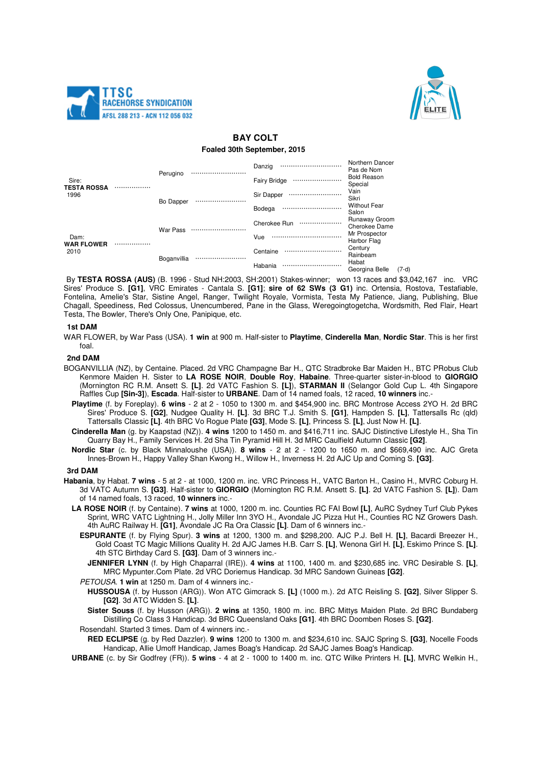



# **BAY COLT**

### **Foaled 30th September, 2015**

| Sire:<br><b>TESTA ROSSA</b><br>1996 |  | Perugino    | . | Danzig              | <br>Northern Dancer<br>Pas de Nom  |       |
|-------------------------------------|--|-------------|---|---------------------|------------------------------------|-------|
|                                     |  |             |   | <b>Fairy Bridge</b> | <br><b>Bold Reason</b><br>Special  |       |
|                                     |  | Bo Dapper   |   | Sir Dapper          | <br>Vain<br>Sikri                  |       |
|                                     |  |             |   | Bodega              | <br><b>Without Fear</b><br>Salon   |       |
| Dam:<br><b>WAR FLOWER</b><br>2010   |  | War Pass    |   | Cherokee Run        | <br>Runaway Groom<br>Cherokee Dame |       |
|                                     |  |             |   | Vue                 | <br>Mr Prospector<br>Harbor Flag   |       |
|                                     |  | Boganvillia |   | Centaine            | <br>Century<br>Rainbeam            |       |
|                                     |  |             |   | Habania             | <br>Habat<br>Georgina Belle        | (7-d) |

By **TESTA ROSSA (AUS)** (B. 1996 - Stud NH:2003, SH:2001) Stakes-winner; won 13 races and \$3,042,167 inc. VRC Sires' Produce S. **[G1]**, VRC Emirates - Cantala S. **[G1]**; **sire of 62 SWs (3 G1)** inc. Ortensia, Rostova, Testafiable, Fontelina, Amelie's Star, Sistine Angel, Ranger, Twilight Royale, Vormista, Testa My Patience, Jiang, Publishing, Blue Chagall, Speediness, Red Colossus, Unencumbered, Pane in the Glass, Weregoingtogetcha, Wordsmith, Red Flair, Heart Testa, The Bowler, There's Only One, Panipique, etc.

### **1st DAM**

WAR FLOWER, by War Pass (USA). **1 win** at 900 m. Half-sister to **Playtime**, **Cinderella Man**, **Nordic Star**. This is her first foal.

### **2nd DAM**

- BOGANVILLIA (NZ), by Centaine. Placed. 2d VRC Champagne Bar H., QTC Stradbroke Bar Maiden H., BTC PRobus Club Kenmore Maiden H. Sister to **LA ROSE NOIR**, **Double Roy**, **Habaine**. Three-quarter sister-in-blood to **GIORGIO** (Mornington RC R.M. Ansett S. **[L]**. 2d VATC Fashion S. **[L]**), **STARMAN II** (Selangor Gold Cup L. 4th Singapore Raffles Cup **[Sin-3]**), **Escada**. Half-sister to **URBANE**. Dam of 14 named foals, 12 raced, **10 winners** inc.-
	- **Playtime** (f. by Foreplay). **6 wins**  2 at 2 1050 to 1300 m. and \$454,900 inc. BRC Montrose Access 2YO H. 2d BRC Sires' Produce S. **[G2]**, Nudgee Quality H. **[L]**. 3d BRC T.J. Smith S. **[G1]**, Hampden S. **[L]**, Tattersalls Rc (qld) Tattersalls Classic **[L]**. 4th BRC Vo Rogue Plate **[G3]**, Mode S. **[L]**, Princess S. **[L]**, Just Now H. **[L]**.
	- **Cinderella Man** (g. by Kaapstad (NZ)). **4 wins** 1200 to 1450 m. and \$416,711 inc. SAJC Distinctive Lifestyle H., Sha Tin Quarry Bay H., Family Services H. 2d Sha Tin Pyramid Hill H. 3d MRC Caulfield Autumn Classic **[G2]**.
	- **Nordic Star** (c. by Black Minnaloushe (USA)). **8 wins**  2 at 2 1200 to 1650 m. and \$669,490 inc. AJC Greta Innes-Brown H., Happy Valley Shan Kwong H., Willow H., Inverness H. 2d AJC Up and Coming S. **[G3]**.

## **3rd DAM**

- **Habania**, by Habat. **7 wins**  5 at 2 at 1000, 1200 m. inc. VRC Princess H., VATC Barton H., Casino H., MVRC Coburg H. 3d VATC Autumn S. **[G3]**. Half-sister to **GIORGIO** (Mornington RC R.M. Ansett S. **[L]**. 2d VATC Fashion S. **[L]**). Dam of 14 named foals, 13 raced, **10 winners** inc.-
	- **LA ROSE NOIR** (f. by Centaine). **7 wins** at 1000, 1200 m. inc. Counties RC FAI Bowl **[L]**, AuRC Sydney Turf Club Pykes Sprint, WRC VATC Lightning H., Jolly Miller Inn 3YO H., Avondale JC Pizza Hut H., Counties RC NZ Growers Dash. 4th AuRC Railway H. **[G1]**, Avondale JC Ra Ora Classic **[L]**. Dam of 6 winners inc.-
		- **ESPURANTE** (f. by Flying Spur). **3 wins** at 1200, 1300 m. and \$298,200. AJC P.J. Bell H. **[L]**, Bacardi Breezer H., Gold Coast TC Magic Millions Quality H. 2d AJC James H.B. Carr S. **[L]**, Wenona Girl H. **[L]**, Eskimo Prince S. **[L]**. 4th STC Birthday Card S. **[G3]**. Dam of 3 winners inc.-
			- **JENNIFER LYNN** (f. by High Chaparral (IRE)). **4 wins** at 1100, 1400 m. and \$230,685 inc. VRC Desirable S. **[L]**, MRC Mypunter.Com Plate. 2d VRC Doriemus Handicap. 3d MRC Sandown Guineas **[G2]**.
		- PETOUSA. **1 win** at 1250 m. Dam of 4 winners inc.-
			- **HUSSOUSA** (f. by Husson (ARG)). Won ATC Gimcrack S. **[L]** (1000 m.). 2d ATC Reisling S. **[G2]**, Silver Slipper S. **[G2]**. 3d ATC Widden S. **[L]**.
			- **Sister Souss** (f. by Husson (ARG)). **2 wins** at 1350, 1800 m. inc. BRC Mittys Maiden Plate. 2d BRC Bundaberg Distilling Co Class 3 Handicap. 3d BRC Queensland Oaks **[G1]**. 4th BRC Doomben Roses S. **[G2]**.
		- Rosendahl. Started 3 times. Dam of 4 winners inc.-

**RED ECLIPSE** (g. by Red Dazzler). **9 wins** 1200 to 1300 m. and \$234,610 inc. SAJC Spring S. **[G3]**, Nocelle Foods Handicap, Allie Umoff Handicap, James Boag's Handicap. 2d SAJC James Boag's Handicap.

**URBANE** (c. by Sir Godfrey (FR)). **5 wins** - 4 at 2 - 1000 to 1400 m. inc. QTC Wilke Printers H. **[L]**, MVRC Welkin H.,